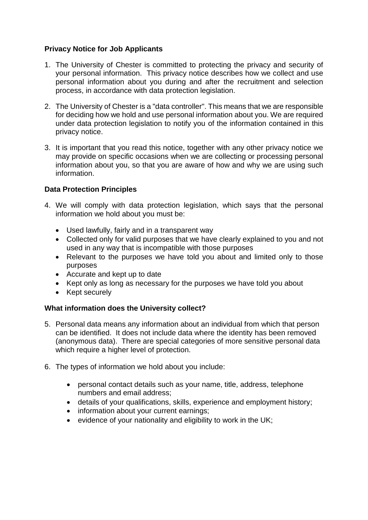## **Privacy Notice for Job Applicants**

- 1. The University of Chester is committed to protecting the privacy and security of your personal information. This privacy notice describes how we collect and use personal information about you during and after the recruitment and selection process, in accordance with data protection legislation.
- 2. The University of Chester is a "data controller". This means that we are responsible for deciding how we hold and use personal information about you. We are required under data protection legislation to notify you of the information contained in this privacy notice.
- 3. It is important that you read this notice, together with any other privacy notice we may provide on specific occasions when we are collecting or processing personal information about you, so that you are aware of how and why we are using such information.

### **Data Protection Principles**

- 4. We will comply with data protection legislation, which says that the personal information we hold about you must be:
	- Used lawfully, fairly and in a transparent way
	- Collected only for valid purposes that we have clearly explained to you and not used in any way that is incompatible with those purposes
	- Relevant to the purposes we have told you about and limited only to those purposes
	- Accurate and kept up to date
	- Kept only as long as necessary for the purposes we have told you about
	- Kept securely

# **What information does the University collect?**

- 5. Personal data means any information about an individual from which that person can be identified. It does not include data where the identity has been removed (anonymous data). There are special categories of more sensitive personal data which require a higher level of protection.
- 6. The types of information we hold about you include:
	- personal contact details such as your name, title, address, telephone numbers and email address;
	- details of your qualifications, skills, experience and employment history;
	- information about your current earnings;
	- evidence of your nationality and eligibility to work in the UK;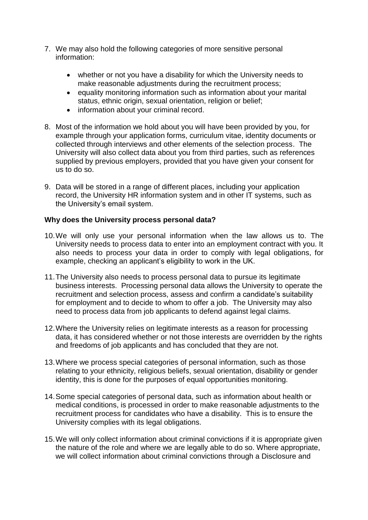- 7. We may also hold the following categories of more sensitive personal information:
	- whether or not you have a disability for which the University needs to make reasonable adjustments during the recruitment process;
	- equality monitoring information such as information about your marital status, ethnic origin, sexual orientation, religion or belief;
	- information about your criminal record.
- 8. Most of the information we hold about you will have been provided by you, for example through your application forms, curriculum vitae, identity documents or collected through interviews and other elements of the selection process. The University will also collect data about you from third parties, such as references supplied by previous employers, provided that you have given your consent for us to do so.
- 9. Data will be stored in a range of different places, including your application record, the University HR information system and in other IT systems, such as the University's email system.

### **Why does the University process personal data?**

- 10.We will only use your personal information when the law allows us to. The University needs to process data to enter into an employment contract with you. It also needs to process your data in order to comply with legal obligations, for example, checking an applicant's eligibility to work in the UK.
- 11.The University also needs to process personal data to pursue its legitimate business interests. Processing personal data allows the University to operate the recruitment and selection process, assess and confirm a candidate's suitability for employment and to decide to whom to offer a job. The University may also need to process data from job applicants to defend against legal claims.
- 12.Where the University relies on legitimate interests as a reason for processing data, it has considered whether or not those interests are overridden by the rights and freedoms of job applicants and has concluded that they are not.
- 13.Where we process special categories of personal information, such as those relating to your ethnicity, religious beliefs, sexual orientation, disability or gender identity, this is done for the purposes of equal opportunities monitoring.
- 14.Some special categories of personal data, such as information about health or medical conditions, is processed in order to make reasonable adjustments to the recruitment process for candidates who have a disability. This is to ensure the University complies with its legal obligations.
- 15.We will only collect information about criminal convictions if it is appropriate given the nature of the role and where we are legally able to do so. Where appropriate, we will collect information about criminal convictions through a Disclosure and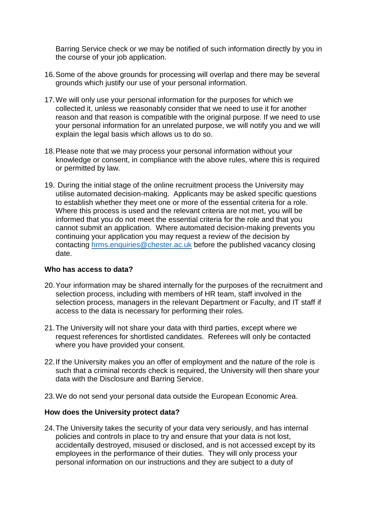Barring Service check or we may be notified of such information directly by you in the course of your job application.

- 16.Some of the above grounds for processing will overlap and there may be several grounds which justify our use of your personal information.
- 17.We will only use your personal information for the purposes for which we collected it, unless we reasonably consider that we need to use it for another reason and that reason is compatible with the original purpose. If we need to use your personal information for an unrelated purpose, we will notify you and we will explain the legal basis which allows us to do so.
- 18.Please note that we may process your personal information without your knowledge or consent, in compliance with the above rules, where this is required or permitted by law.
- 19. During the initial stage of the online recruitment process the University may utilise automated decision-making. Applicants may be asked specific questions to establish whether they meet one or more of the essential criteria for a role. Where this process is used and the relevant criteria are not met, you will be informed that you do not meet the essential criteria for the role and that you cannot submit an application. Where automated decision-making prevents you continuing your application you may request a review of the decision by contacting [hrms.enquiries@chester.ac.uk](mailto:hrms.enquiries@chester.ac.uk) before the published vacancy closing date.

#### **Who has access to data?**

- 20.Your information may be shared internally for the purposes of the recruitment and selection process, including with members of HR team, staff involved in the selection process, managers in the relevant Department or Faculty, and IT staff if access to the data is necessary for performing their roles.
- 21.The University will not share your data with third parties, except where we request references for shortlisted candidates. Referees will only be contacted where you have provided your consent.
- 22.If the University makes you an offer of employment and the nature of the role is such that a criminal records check is required, the University will then share your data with the Disclosure and Barring Service.
- 23.We do not send your personal data outside the European Economic Area.

#### **How does the University protect data?**

24.The University takes the security of your data very seriously, and has internal policies and controls in place to try and ensure that your data is not lost, accidentally destroyed, misused or disclosed, and is not accessed except by its employees in the performance of their duties. They will only process your personal information on our instructions and they are subject to a duty of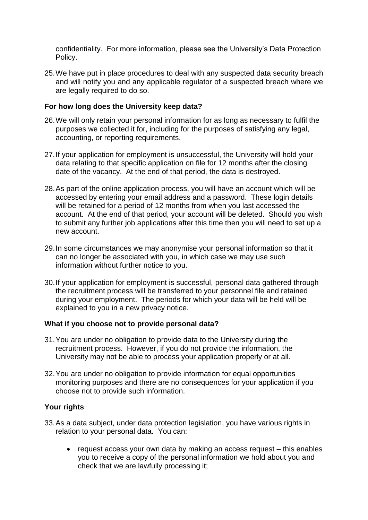confidentiality. For more information, please see the University's Data Protection Policy.

25.We have put in place procedures to deal with any suspected data security breach and will notify you and any applicable regulator of a suspected breach where we are legally required to do so.

#### **For how long does the University keep data?**

- 26.We will only retain your personal information for as long as necessary to fulfil the purposes we collected it for, including for the purposes of satisfying any legal, accounting, or reporting requirements.
- 27.If your application for employment is unsuccessful, the University will hold your data relating to that specific application on file for 12 months after the closing date of the vacancy. At the end of that period, the data is destroyed.
- 28.As part of the online application process, you will have an account which will be accessed by entering your email address and a password. These login details will be retained for a period of 12 months from when you last accessed the account. At the end of that period, your account will be deleted. Should you wish to submit any further job applications after this time then you will need to set up a new account.
- 29.In some circumstances we may anonymise your personal information so that it can no longer be associated with you, in which case we may use such information without further notice to you.
- 30.If your application for employment is successful, personal data gathered through the recruitment process will be transferred to your personnel file and retained during your employment. The periods for which your data will be held will be explained to you in a new privacy notice.

#### **What if you choose not to provide personal data?**

- 31.You are under no obligation to provide data to the University during the recruitment process. However, if you do not provide the information, the University may not be able to process your application properly or at all.
- 32.You are under no obligation to provide information for equal opportunities monitoring purposes and there are no consequences for your application if you choose not to provide such information.

#### **Your rights**

- 33.As a data subject, under data protection legislation, you have various rights in relation to your personal data. You can:
	- request access your own data by making an access request this enables you to receive a copy of the personal information we hold about you and check that we are lawfully processing it;